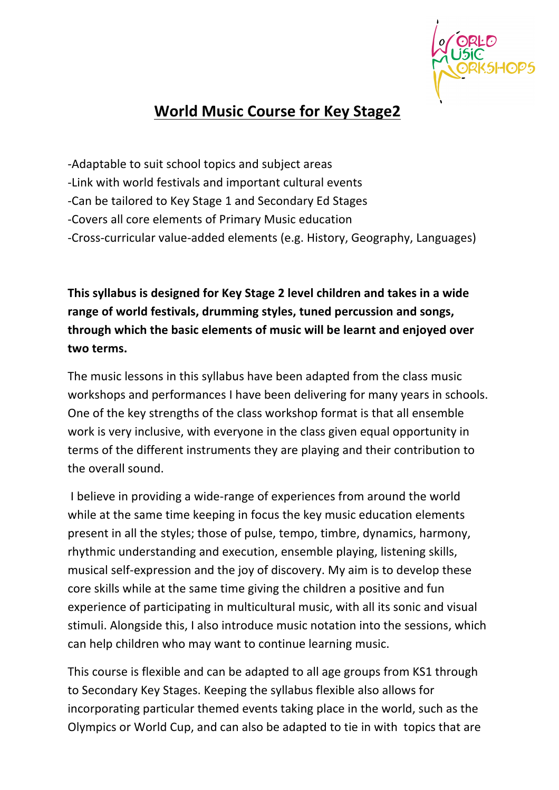

# **World Music Course for Key Stage2**

-Adaptable to suit school topics and subject areas

- -Link with world festivals and important cultural events
- -Can be tailored to Key Stage 1 and Secondary Ed Stages
- -Covers all core elements of Primary Music education
- -Cross-curricular value-added elements (e.g. History, Geography, Languages)

**This syllabus is designed for Key Stage 2 level children and takes in a wide range of world festivals, drumming styles, tuned percussion and songs, through which the basic elements of music will be learnt and enjoyed over two terms.**

The music lessons in this syllabus have been adapted from the class music workshops and performances I have been delivering for many years in schools. One of the key strengths of the class workshop format is that all ensemble work is very inclusive, with everyone in the class given equal opportunity in terms of the different instruments they are playing and their contribution to the overall sound.

I believe in providing a wide-range of experiences from around the world while at the same time keeping in focus the key music education elements present in all the styles; those of pulse, tempo, timbre, dynamics, harmony, rhythmic understanding and execution, ensemble playing, listening skills, musical self-expression and the joy of discovery. My aim is to develop these core skills while at the same time giving the children a positive and fun experience of participating in multicultural music, with all its sonic and visual stimuli. Alongside this, I also introduce music notation into the sessions, which can help children who may want to continue learning music.

This course is flexible and can be adapted to all age groups from KS1 through to Secondary Key Stages. Keeping the syllabus flexible also allows for incorporating particular themed events taking place in the world, such as the Olympics or World Cup, and can also be adapted to tie in with topics that are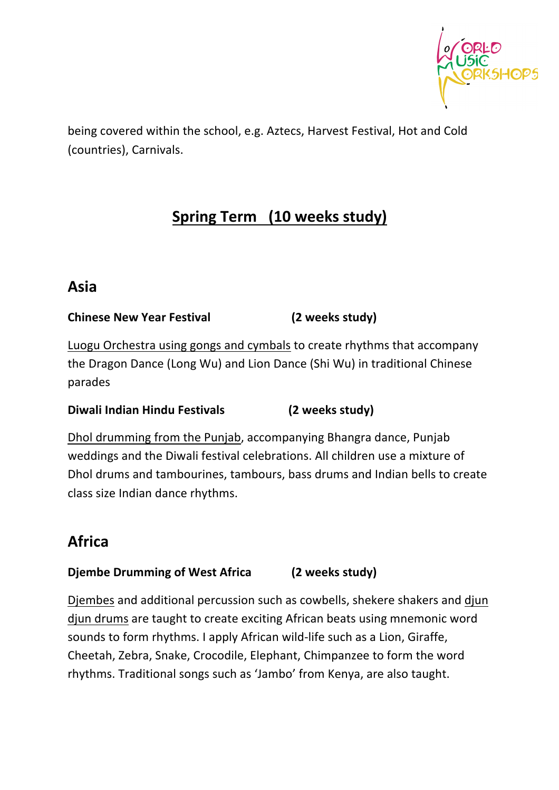

being covered within the school, e.g. Aztecs, Harvest Festival, Hot and Cold (countries), Carnivals.

# **Spring Term (10 weeks study)**

## **Asia**

## **Chinese New Year Festival (2 weeks study)**

Luogu Orchestra using gongs and cymbals to create rhythms that accompany the Dragon Dance (Long Wu) and Lion Dance (Shi Wu) in traditional Chinese parades

## **Diwali Indian Hindu Festivals (2** weeks study)

Dhol drumming from the Punjab, accompanying Bhangra dance, Punjab weddings and the Diwali festival celebrations. All children use a mixture of Dhol drums and tambourines, tambours, bass drums and Indian bells to create class size Indian dance rhythms.

# **Africa**

## **Djembe Drumming of West Africa** (2 weeks study)

Djembes and additional percussion such as cowbells, shekere shakers and djun djun drums are taught to create exciting African beats using mnemonic word sounds to form rhythms. I apply African wild-life such as a Lion, Giraffe, Cheetah, Zebra, Snake, Crocodile, Elephant, Chimpanzee to form the word rhythms. Traditional songs such as 'Jambo' from Kenya, are also taught.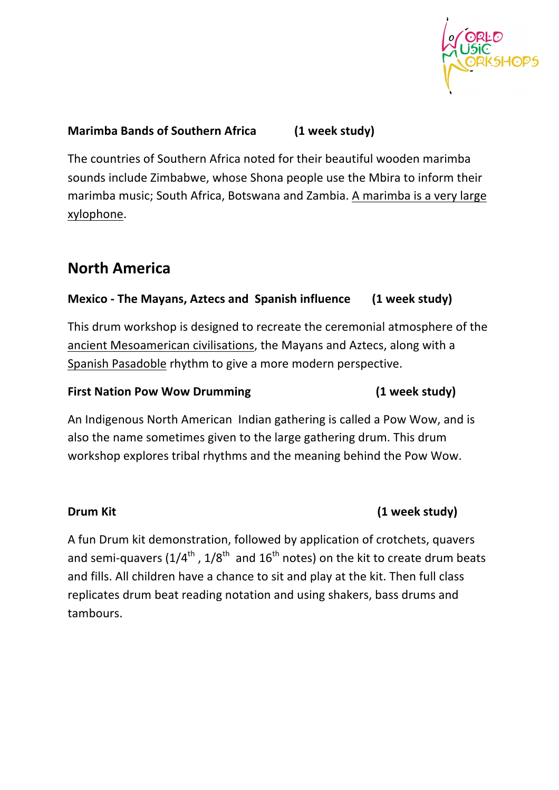

## **Marimba Bands of Southern Africa** (1 week study)

The countries of Southern Africa noted for their beautiful wooden marimba sounds include Zimbabwe, whose Shona people use the Mbira to inform their marimba music; South Africa, Botswana and Zambia. A marimba is a very large xylophone.

# **North America**

## **Mexico** - The Mayans, Aztecs and Spanish influence (1 week study)

This drum workshop is designed to recreate the ceremonial atmosphere of the ancient Mesoamerican civilisations, the Mayans and Aztecs, along with a Spanish Pasadoble rhythm to give a more modern perspective.

### **First Nation Pow Wow Drumming (1 week study)**

An Indigenous North American Indian gathering is called a Pow Wow, and is also the name sometimes given to the large gathering drum. This drum workshop explores tribal rhythms and the meaning behind the Pow Wow.

## **Drum Kit (1 week study)**

A fun Drum kit demonstration, followed by application of crotchets, quavers and semi-quavers  $(1/4^{\text{th}}$ ,  $1/8^{\text{th}}$  and  $16^{\text{th}}$  notes) on the kit to create drum beats and fills. All children have a chance to sit and play at the kit. Then full class replicates drum beat reading notation and using shakers, bass drums and tambours.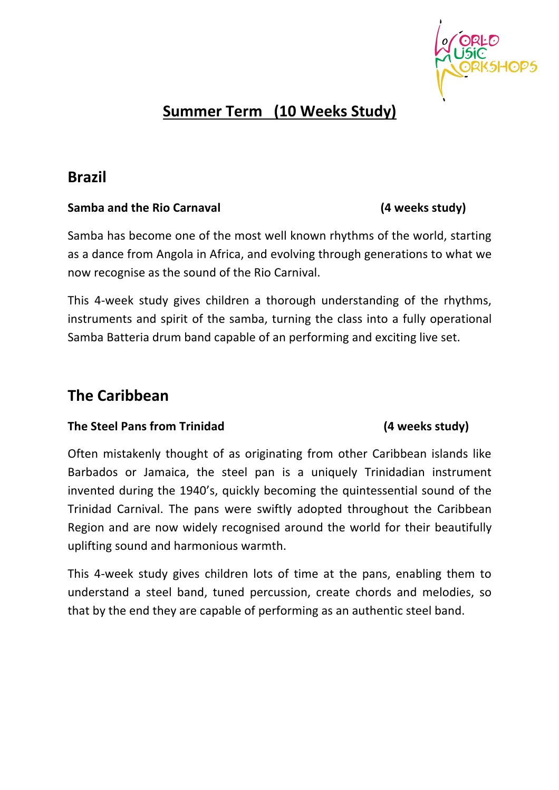

# **Summer Term (10 Weeks Study)**

## **Brazil**

### Samba and the Rio Carnaval **89 and 10** (4 weeks study)

now recognise as the sound of the Rio Carnival.

Samba has become one of the most well known rhythms of the world, starting as a dance from Angola in Africa, and evolving through generations to what we

This 4-week study gives children a thorough understanding of the rhythms, instruments and spirit of the samba, turning the class into a fully operational Samba Batteria drum band capable of an performing and exciting live set.

## **The Caribbean**

### **The Steel Pans from Trinidad (4 weeks study)**

Often mistakenly thought of as originating from other Caribbean islands like Barbados or Jamaica, the steel pan is a uniquely Trinidadian instrument invented during the 1940's, quickly becoming the quintessential sound of the Trinidad Carnival. The pans were swiftly adopted throughout the Caribbean Region and are now widely recognised around the world for their beautifully uplifting sound and harmonious warmth.

This 4-week study gives children lots of time at the pans, enabling them to understand a steel band, tuned percussion, create chords and melodies, so that by the end they are capable of performing as an authentic steel band.